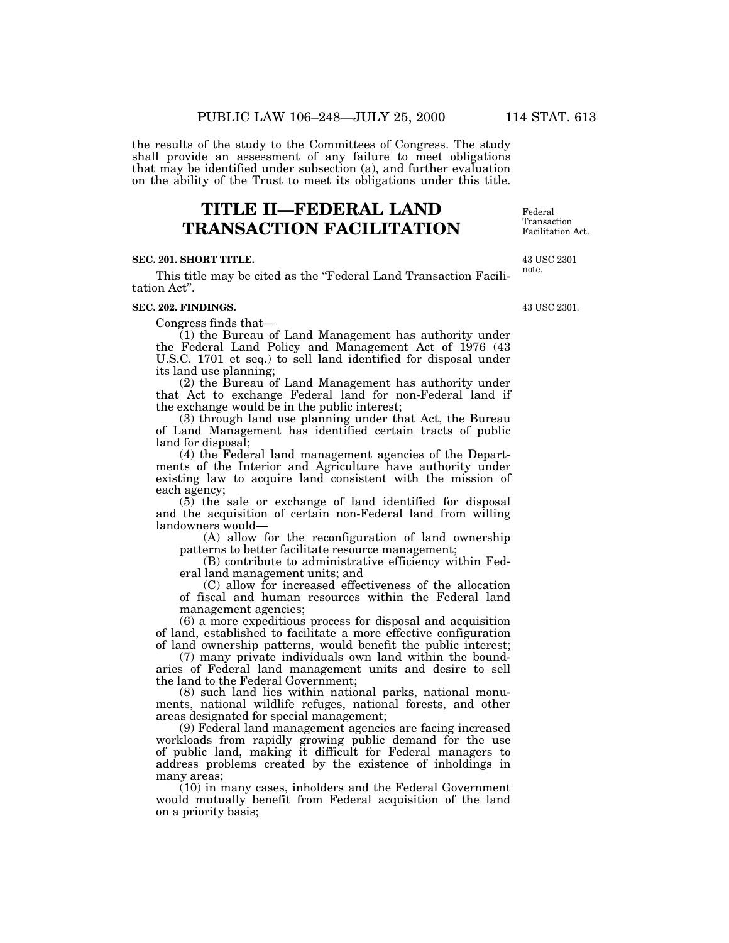the results of the study to the Committees of Congress. The study shall provide an assessment of any failure to meet obligations that may be identified under subsection (a), and further evaluation on the ability of the Trust to meet its obligations under this title.

# **TITLE II—FEDERAL LAND TRANSACTION FACILITATION**

#### **SEC. 201. SHORT TITLE.**

This title may be cited as the "Federal Land Transaction Facilitation Act''.

#### **SEC. 202. FINDINGS.**

Congress finds that—

(1) the Bureau of Land Management has authority under the Federal Land Policy and Management Act of 1976 (43 U.S.C. 1701 et seq.) to sell land identified for disposal under its land use planning;

(2) the Bureau of Land Management has authority under that Act to exchange Federal land for non-Federal land if the exchange would be in the public interest;

(3) through land use planning under that Act, the Bureau of Land Management has identified certain tracts of public land for disposal;

(4) the Federal land management agencies of the Departments of the Interior and Agriculture have authority under existing law to acquire land consistent with the mission of each agency;

(5) the sale or exchange of land identified for disposal and the acquisition of certain non-Federal land from willing landowners would—

(A) allow for the reconfiguration of land ownership patterns to better facilitate resource management;

(B) contribute to administrative efficiency within Federal land management units; and

(C) allow for increased effectiveness of the allocation of fiscal and human resources within the Federal land management agencies;

(6) a more expeditious process for disposal and acquisition of land, established to facilitate a more effective configuration of land ownership patterns, would benefit the public interest;

(7) many private individuals own land within the boundaries of Federal land management units and desire to sell the land to the Federal Government;

(8) such land lies within national parks, national monuments, national wildlife refuges, national forests, and other areas designated for special management;

(9) Federal land management agencies are facing increased workloads from rapidly growing public demand for the use of public land, making it difficult for Federal managers to address problems created by the existence of inholdings in many areas;

(10) in many cases, inholders and the Federal Government would mutually benefit from Federal acquisition of the land on a priority basis;

Federal Transaction Facilitation Act.

43 USC 2301 note.

43 USC 2301.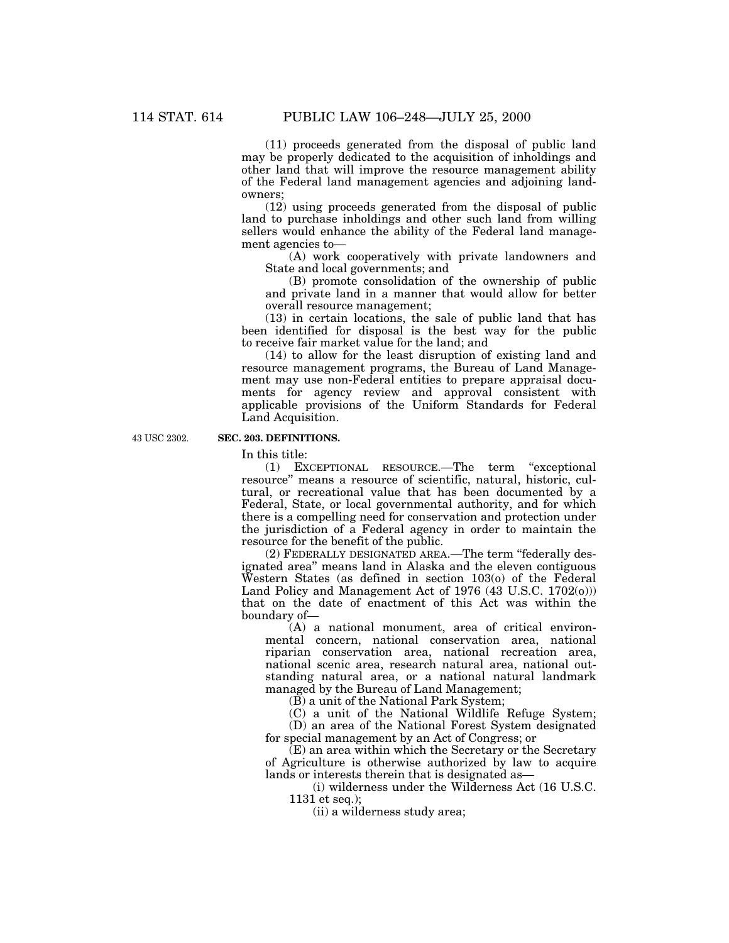(11) proceeds generated from the disposal of public land may be properly dedicated to the acquisition of inholdings and other land that will improve the resource management ability of the Federal land management agencies and adjoining landowners;

(12) using proceeds generated from the disposal of public land to purchase inholdings and other such land from willing sellers would enhance the ability of the Federal land management agencies to—

(A) work cooperatively with private landowners and State and local governments; and

(B) promote consolidation of the ownership of public and private land in a manner that would allow for better overall resource management;

(13) in certain locations, the sale of public land that has been identified for disposal is the best way for the public to receive fair market value for the land; and

(14) to allow for the least disruption of existing land and resource management programs, the Bureau of Land Management may use non-Federal entities to prepare appraisal documents for agency review and approval consistent with applicable provisions of the Uniform Standards for Federal Land Acquisition.

43 USC 2302.

# **SEC. 203. DEFINITIONS.**

In this title:

(1) EXCEPTIONAL RESOURCE.—The term ''exceptional resource'' means a resource of scientific, natural, historic, cultural, or recreational value that has been documented by a Federal, State, or local governmental authority, and for which there is a compelling need for conservation and protection under the jurisdiction of a Federal agency in order to maintain the resource for the benefit of the public.

(2) FEDERALLY DESIGNATED AREA.—The term ''federally designated area'' means land in Alaska and the eleven contiguous Western States (as defined in section 103(o) of the Federal Land Policy and Management Act of 1976 (43 U.S.C. 1702(o))) that on the date of enactment of this Act was within the boundary of—

(A) a national monument, area of critical environmental concern, national conservation area, national riparian conservation area, national recreation area, national scenic area, research natural area, national outstanding natural area, or a national natural landmark managed by the Bureau of Land Management;

(B) a unit of the National Park System;

(C) a unit of the National Wildlife Refuge System;

(D) an area of the National Forest System designated for special management by an Act of Congress; or

(E) an area within which the Secretary or the Secretary of Agriculture is otherwise authorized by law to acquire lands or interests therein that is designated as—

(i) wilderness under the Wilderness Act (16 U.S.C. 1131 et seq.);

(ii) a wilderness study area;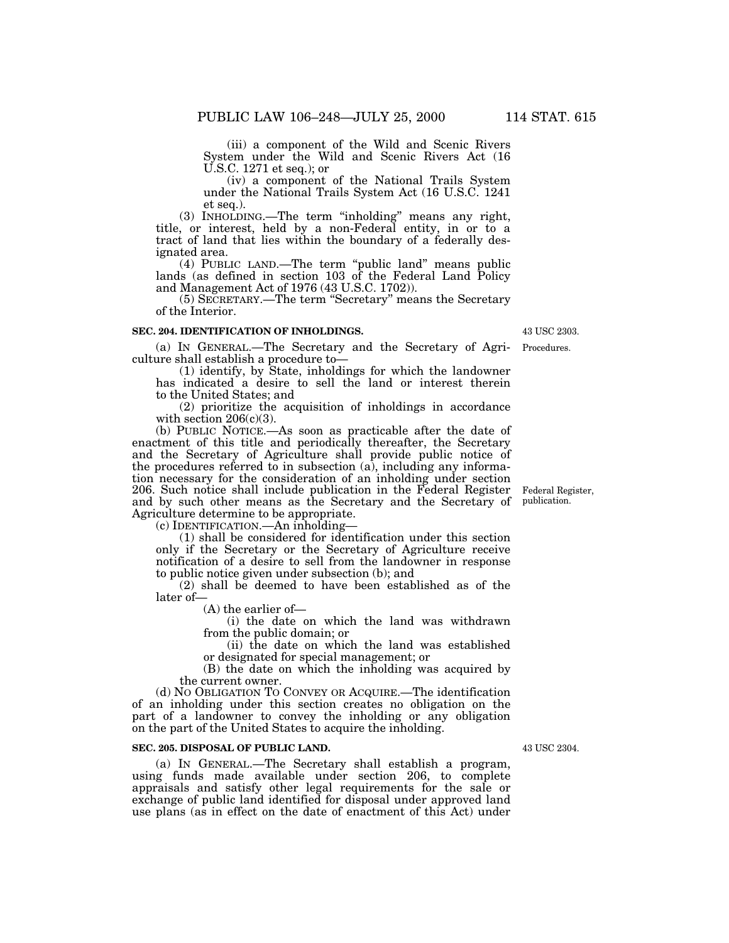(iii) a component of the Wild and Scenic Rivers System under the Wild and Scenic Rivers Act (16 U.S.C. 1271 et seq.); or

(iv) a component of the National Trails System under the National Trails System Act (16 U.S.C. 1241 et seq.).

(3) INHOLDING.—The term ''inholding'' means any right, title, or interest, held by a non-Federal entity, in or to a tract of land that lies within the boundary of a federally designated area.

(4) PUBLIC LAND.—The term ''public land'' means public lands (as defined in section 103 of the Federal Land Policy and Management Act of 1976 (43 U.S.C. 1702)).

(5) SECRETARY.—The term ''Secretary'' means the Secretary of the Interior.

## **SEC. 204. IDENTIFICATION OF INHOLDINGS.**

(a) IN GENERAL.—The Secretary and the Secretary of Agri-Procedures. culture shall establish a procedure to—

(1) identify, by State, inholdings for which the landowner has indicated a desire to sell the land or interest therein to the United States; and

(2) prioritize the acquisition of inholdings in accordance with section  $206(c)(3)$ .

(b) PUBLIC NOTICE.—As soon as practicable after the date of enactment of this title and periodically thereafter, the Secretary and the Secretary of Agriculture shall provide public notice of the procedures referred to in subsection (a), including any information necessary for the consideration of an inholding under section 206. Such notice shall include publication in the Federal Register and by such other means as the Secretary and the Secretary of Agriculture determine to be appropriate.

(c) IDENTIFICATION.—An inholding—

(1) shall be considered for identification under this section only if the Secretary or the Secretary of Agriculture receive notification of a desire to sell from the landowner in response to public notice given under subsection (b); and

(2) shall be deemed to have been established as of the later of—

(A) the earlier of—

(i) the date on which the land was withdrawn from the public domain; or

(ii) the date on which the land was established or designated for special management; or

(B) the date on which the inholding was acquired by the current owner.

(d) NO OBLIGATION TO CONVEY OR ACQUIRE.—The identification of an inholding under this section creates no obligation on the part of a landowner to convey the inholding or any obligation on the part of the United States to acquire the inholding.

## **SEC. 205. DISPOSAL OF PUBLIC LAND.**

(a) IN GENERAL.—The Secretary shall establish a program, using funds made available under section 206, to complete appraisals and satisfy other legal requirements for the sale or exchange of public land identified for disposal under approved land use plans (as in effect on the date of enactment of this Act) under

43 USC 2304.

Federal Register, publication.

43 USC 2303.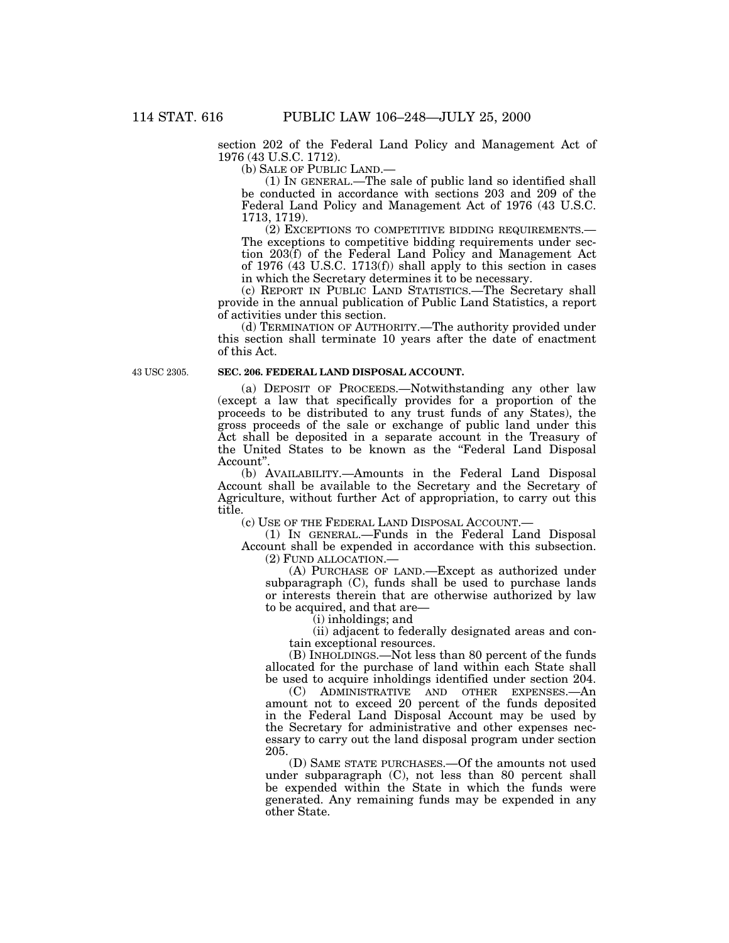section 202 of the Federal Land Policy and Management Act of 1976 (43 U.S.C. 1712).

(b) SALE OF PUBLIC LAND.—

(1) IN GENERAL.—The sale of public land so identified shall be conducted in accordance with sections 203 and 209 of the Federal Land Policy and Management Act of 1976 (43 U.S.C. 1713, 1719).

(2) EXCEPTIONS TO COMPETITIVE BIDDING REQUIREMENTS.— The exceptions to competitive bidding requirements under section 203(f) of the Federal Land Policy and Management Act of 1976 (43 U.S.C. 1713(f)) shall apply to this section in cases in which the Secretary determines it to be necessary.

(c) REPORT IN PUBLIC LAND STATISTICS.—The Secretary shall provide in the annual publication of Public Land Statistics, a report of activities under this section.

(d) TERMINATION OF AUTHORITY.—The authority provided under this section shall terminate 10 years after the date of enactment of this Act.

43 USC 2305.

## **SEC. 206. FEDERAL LAND DISPOSAL ACCOUNT.**

(a) DEPOSIT OF PROCEEDS.—Notwithstanding any other law (except a law that specifically provides for a proportion of the proceeds to be distributed to any trust funds of any States), the gross proceeds of the sale or exchange of public land under this Act shall be deposited in a separate account in the Treasury of the United States to be known as the ''Federal Land Disposal Account''.

(b) AVAILABILITY.—Amounts in the Federal Land Disposal Account shall be available to the Secretary and the Secretary of Agriculture, without further Act of appropriation, to carry out this title.

(c) USE OF THE FEDERAL LAND DISPOSAL ACCOUNT.—

(1) IN GENERAL.—Funds in the Federal Land Disposal Account shall be expended in accordance with this subsection. (2) FUND ALLOCATION.—

(A) PURCHASE OF LAND.—Except as authorized under subparagraph  $(C)$ , funds shall be used to purchase lands or interests therein that are otherwise authorized by law to be acquired, and that are—

(i) inholdings; and

(ii) adjacent to federally designated areas and contain exceptional resources.

(B) INHOLDINGS.—Not less than 80 percent of the funds allocated for the purchase of land within each State shall be used to acquire inholdings identified under section 204.

(C) ADMINISTRATIVE AND OTHER EXPENSES.—An amount not to exceed 20 percent of the funds deposited in the Federal Land Disposal Account may be used by the Secretary for administrative and other expenses necessary to carry out the land disposal program under section 205.

(D) SAME STATE PURCHASES.—Of the amounts not used under subparagraph (C), not less than 80 percent shall be expended within the State in which the funds were generated. Any remaining funds may be expended in any other State.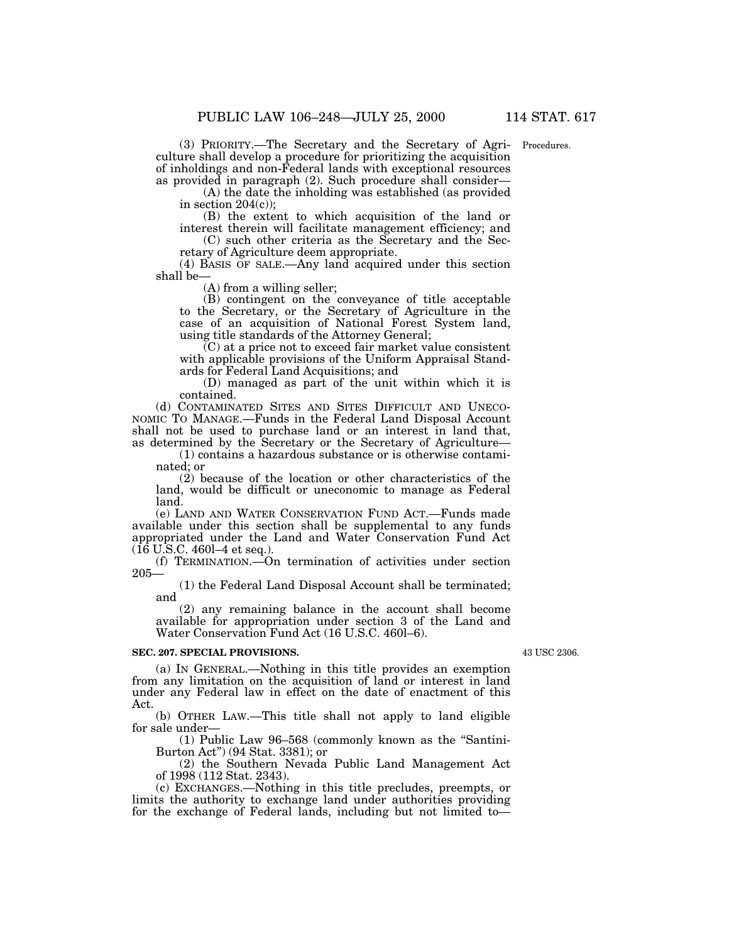(3) PRIORITY.—The Secretary and the Secretary of Agri-Procedures. culture shall develop a procedure for prioritizing the acquisition of inholdings and non-Federal lands with exceptional resources as provided in paragraph (2). Such procedure shall consider—

(A) the date the inholding was established (as provided in section  $204(c)$ ;

(B) the extent to which acquisition of the land or interest therein will facilitate management efficiency; and

(C) such other criteria as the Secretary and the Secretary of Agriculture deem appropriate.

(4) BASIS OF SALE.—Any land acquired under this section shall be—

(A) from a willing seller;

(B) contingent on the conveyance of title acceptable to the Secretary, or the Secretary of Agriculture in the case of an acquisition of National Forest System land, using title standards of the Attorney General;

 $(C)$  at a price not to exceed fair market value consistent with applicable provisions of the Uniform Appraisal Standards for Federal Land Acquisitions; and

(D) managed as part of the unit within which it is contained.

(d) CONTAMINATED SITES AND SITES DIFFICULT AND UNECO-NOMIC TO MANAGE.—Funds in the Federal Land Disposal Account shall not be used to purchase land or an interest in land that, as determined by the Secretary or the Secretary of Agriculture—

(1) contains a hazardous substance or is otherwise contaminated; or

(2) because of the location or other characteristics of the land, would be difficult or uneconomic to manage as Federal land.

(e) LAND AND WATER CONSERVATION FUND ACT.—Funds made available under this section shall be supplemental to any funds appropriated under the Land and Water Conservation Fund Act  $(16 \text{ U.S.C. } 460 - 4 \text{ et seq.}).$ 

(f) TERMINATION.—On termination of activities under section 205—

(1) the Federal Land Disposal Account shall be terminated; and

(2) any remaining balance in the account shall become available for appropriation under section 3 of the Land and Water Conservation Fund Act (16 U.S.C. 460l–6).

#### **SEC. 207. SPECIAL PROVISIONS.**

43 USC 2306.

(a) IN GENERAL.—Nothing in this title provides an exemption from any limitation on the acquisition of land or interest in land under any Federal law in effect on the date of enactment of this Act.

(b) OTHER LAW.—This title shall not apply to land eligible for sale under—

(1) Public Law 96–568 (commonly known as the ''Santini-Burton Act'') (94 Stat. 3381); or

(2) the Southern Nevada Public Land Management Act of 1998 (112 Stat. 2343).

(c) EXCHANGES.—Nothing in this title precludes, preempts, or limits the authority to exchange land under authorities providing for the exchange of Federal lands, including but not limited to—